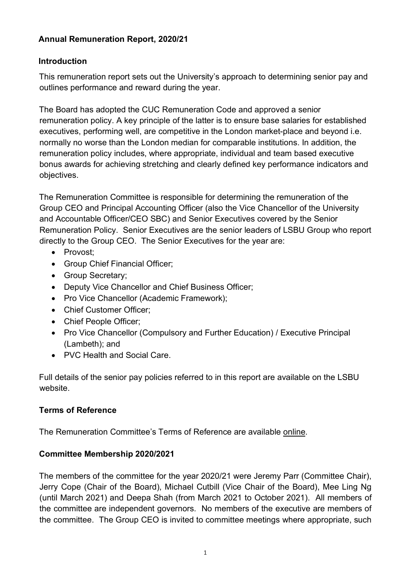# **Annual Remuneration Report, 2020/21**

## **Introduction**

This remuneration report sets out the University's approach to determining senior pay and outlines performance and reward during the year.

The Board has adopted the CUC Remuneration Code and approved a senior remuneration policy. A key principle of the latter is to ensure base salaries for established executives, performing well, are competitive in the London market-place and beyond i.e. normally no worse than the London median for comparable institutions. In addition, the remuneration policy includes, where appropriate, individual and team based executive bonus awards for achieving stretching and clearly defined key performance indicators and objectives.

The Remuneration Committee is responsible for determining the remuneration of the Group CEO and Principal Accounting Officer (also the Vice Chancellor of the University and Accountable Officer/CEO SBC) and Senior Executives covered by the Senior Remuneration Policy. Senior Executives are the senior leaders of LSBU Group who report directly to the Group CEO. The Senior Executives for the year are:

- Provost;
- Group Chief Financial Officer;
- Group Secretary;
- Deputy Vice Chancellor and Chief Business Officer;
- Pro Vice Chancellor (Academic Framework):
- Chief Customer Officer;
- Chief People Officer:
- Pro Vice Chancellor (Compulsory and Further Education) / Executive Principal (Lambeth); and
- PVC Health and Social Care.

Full details of the senior pay policies referred to in this report are available on the LSBU website.

### **Terms of Reference**

The Remuneration Committee's Terms of Reference are available [online.](https://www.lsbu.ac.uk/about-us/people/governance/board-of-governors/committees)

### **Committee Membership 2020/2021**

The members of the committee for the year 2020/21 were Jeremy Parr (Committee Chair), Jerry Cope (Chair of the Board), Michael Cutbill (Vice Chair of the Board), Mee Ling Ng (until March 2021) and Deepa Shah (from March 2021 to October 2021). All members of the committee are independent governors. No members of the executive are members of the committee. The Group CEO is invited to committee meetings where appropriate, such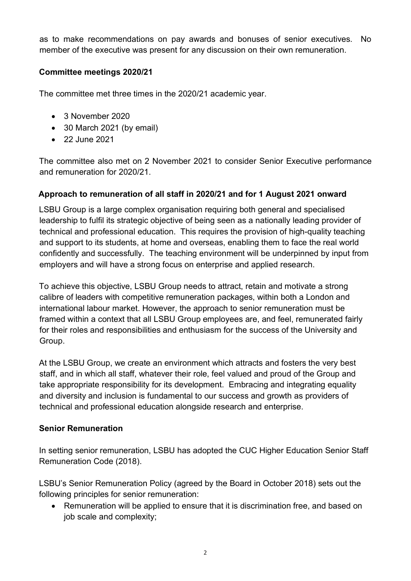as to make recommendations on pay awards and bonuses of senior executives. No member of the executive was present for any discussion on their own remuneration.

## **Committee meetings 2020/21**

The committee met three times in the 2020/21 academic year.

- 3 November 2020
- 30 March 2021 (by email)
- 22 June 2021

The committee also met on 2 November 2021 to consider Senior Executive performance and remuneration for 2020/21.

## **Approach to remuneration of all staff in 2020/21 and for 1 August 2021 onward**

LSBU Group is a large complex organisation requiring both general and specialised leadership to fulfil its strategic objective of being seen as a nationally leading provider of technical and professional education. This requires the provision of high-quality teaching and support to its students, at home and overseas, enabling them to face the real world confidently and successfully. The teaching environment will be underpinned by input from employers and will have a strong focus on enterprise and applied research.

To achieve this objective, LSBU Group needs to attract, retain and motivate a strong calibre of leaders with competitive remuneration packages, within both a London and international labour market. However, the approach to senior remuneration must be framed within a context that all LSBU Group employees are, and feel, remunerated fairly for their roles and responsibilities and enthusiasm for the success of the University and Group.

At the LSBU Group, we create an environment which attracts and fosters the very best staff, and in which all staff, whatever their role, feel valued and proud of the Group and take appropriate responsibility for its development. Embracing and integrating equality and diversity and inclusion is fundamental to our success and growth as providers of technical and professional education alongside research and enterprise.

### **Senior Remuneration**

In setting senior remuneration, LSBU has adopted the CUC Higher Education Senior Staff Remuneration Code (2018).

LSBU's Senior Remuneration Policy (agreed by the Board in October 2018) sets out the following principles for senior remuneration:

• Remuneration will be applied to ensure that it is discrimination free, and based on job scale and complexity;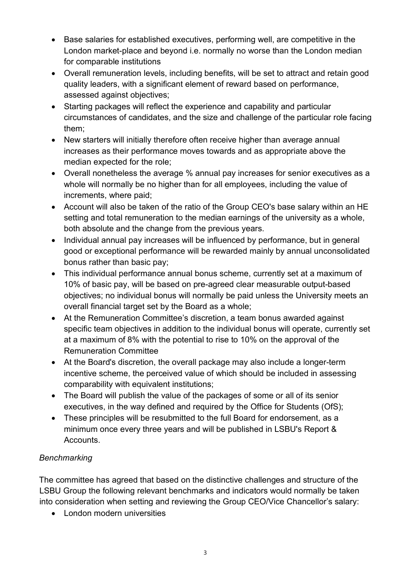- Base salaries for established executives, performing well, are competitive in the London market-place and beyond i.e. normally no worse than the London median for comparable institutions
- Overall remuneration levels, including benefits, will be set to attract and retain good quality leaders, with a significant element of reward based on performance, assessed against objectives;
- Starting packages will reflect the experience and capability and particular circumstances of candidates, and the size and challenge of the particular role facing them;
- New starters will initially therefore often receive higher than average annual increases as their performance moves towards and as appropriate above the median expected for the role;
- Overall nonetheless the average % annual pay increases for senior executives as a whole will normally be no higher than for all employees, including the value of increments, where paid;
- Account will also be taken of the ratio of the Group CEO's base salary within an HE setting and total remuneration to the median earnings of the university as a whole, both absolute and the change from the previous years.
- Individual annual pay increases will be influenced by performance, but in general good or exceptional performance will be rewarded mainly by annual unconsolidated bonus rather than basic pay;
- This individual performance annual bonus scheme, currently set at a maximum of 10% of basic pay, will be based on pre-agreed clear measurable output-based objectives; no individual bonus will normally be paid unless the University meets an overall financial target set by the Board as a whole;
- At the Remuneration Committee's discretion, a team bonus awarded against specific team objectives in addition to the individual bonus will operate, currently set at a maximum of 8% with the potential to rise to 10% on the approval of the Remuneration Committee
- At the Board's discretion, the overall package may also include a longer-term incentive scheme, the perceived value of which should be included in assessing comparability with equivalent institutions;
- The Board will publish the value of the packages of some or all of its senior executives, in the way defined and required by the Office for Students (OfS);
- These principles will be resubmitted to the full Board for endorsement, as a minimum once every three years and will be published in LSBU's Report & Accounts.

# *Benchmarking*

The committee has agreed that based on the distinctive challenges and structure of the LSBU Group the following relevant benchmarks and indicators would normally be taken into consideration when setting and reviewing the Group CEO/Vice Chancellor's salary:

• London modern universities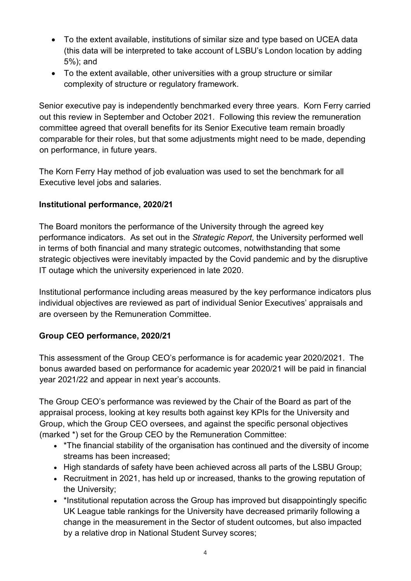- To the extent available, institutions of similar size and type based on UCEA data (this data will be interpreted to take account of LSBU's London location by adding 5%); and
- To the extent available, other universities with a group structure or similar complexity of structure or regulatory framework.

Senior executive pay is independently benchmarked every three years. Korn Ferry carried out this review in September and October 2021. Following this review the remuneration committee agreed that overall benefits for its Senior Executive team remain broadly comparable for their roles, but that some adjustments might need to be made, depending on performance, in future years.

The Korn Ferry Hay method of job evaluation was used to set the benchmark for all Executive level jobs and salaries.

## **Institutional performance, 2020/21**

The Board monitors the performance of the University through the agreed key performance indicators. As set out in the *Strategic Report*, the University performed well in terms of both financial and many strategic outcomes, notwithstanding that some strategic objectives were inevitably impacted by the Covid pandemic and by the disruptive IT outage which the university experienced in late 2020.

Institutional performance including areas measured by the key performance indicators plus individual objectives are reviewed as part of individual Senior Executives' appraisals and are overseen by the Remuneration Committee.

# **Group CEO performance, 2020/21**

This assessment of the Group CEO's performance is for academic year 2020/2021. The bonus awarded based on performance for academic year 2020/21 will be paid in financial year 2021/22 and appear in next year's accounts.

The Group CEO's performance was reviewed by the Chair of the Board as part of the appraisal process, looking at key results both against key KPIs for the University and Group, which the Group CEO oversees, and against the specific personal objectives (marked \*) set for the Group CEO by the Remuneration Committee:

- \*The financial stability of the organisation has continued and the diversity of income streams has been increased;
- High standards of safety have been achieved across all parts of the LSBU Group;
- Recruitment in 2021, has held up or increased, thanks to the growing reputation of the University;
- \*Institutional reputation across the Group has improved but disappointingly specific UK League table rankings for the University have decreased primarily following a change in the measurement in the Sector of student outcomes, but also impacted by a relative drop in National Student Survey scores;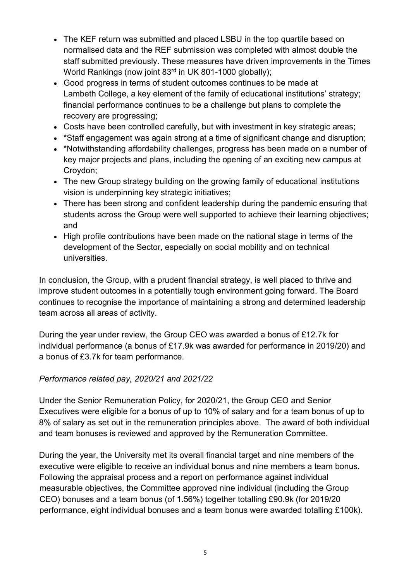- The KEF return was submitted and placed LSBU in the top quartile based on normalised data and the REF submission was completed with almost double the staff submitted previously. These measures have driven improvements in the Times World Rankings (now joint 83<sup>rd</sup> in UK 801-1000 globally);
- Good progress in terms of student outcomes continues to be made at Lambeth College, a key element of the family of educational institutions' strategy; financial performance continues to be a challenge but plans to complete the recovery are progressing;
- Costs have been controlled carefully, but with investment in key strategic areas;
- \*Staff engagement was again strong at a time of significant change and disruption;
- \*Notwithstanding affordability challenges, progress has been made on a number of key major projects and plans, including the opening of an exciting new campus at Croydon;
- The new Group strategy building on the growing family of educational institutions vision is underpinning key strategic initiatives;
- There has been strong and confident leadership during the pandemic ensuring that students across the Group were well supported to achieve their learning objectives; and
- High profile contributions have been made on the national stage in terms of the development of the Sector, especially on social mobility and on technical universities.

In conclusion, the Group, with a prudent financial strategy, is well placed to thrive and improve student outcomes in a potentially tough environment going forward. The Board continues to recognise the importance of maintaining a strong and determined leadership team across all areas of activity.

During the year under review, the Group CEO was awarded a bonus of £12.7k for individual performance (a bonus of £17.9k was awarded for performance in 2019/20) and a bonus of £3.7k for team performance.

### *Performance related pay, 2020/21 and 2021/22*

Under the Senior Remuneration Policy, for 2020/21, the Group CEO and Senior Executives were eligible for a bonus of up to 10% of salary and for a team bonus of up to 8% of salary as set out in the remuneration principles above. The award of both individual and team bonuses is reviewed and approved by the Remuneration Committee.

During the year, the University met its overall financial target and nine members of the executive were eligible to receive an individual bonus and nine members a team bonus. Following the appraisal process and a report on performance against individual measurable objectives, the Committee approved nine individual (including the Group CEO) bonuses and a team bonus (of 1.56%) together totalling £90.9k (for 2019/20 performance, eight individual bonuses and a team bonus were awarded totalling £100k).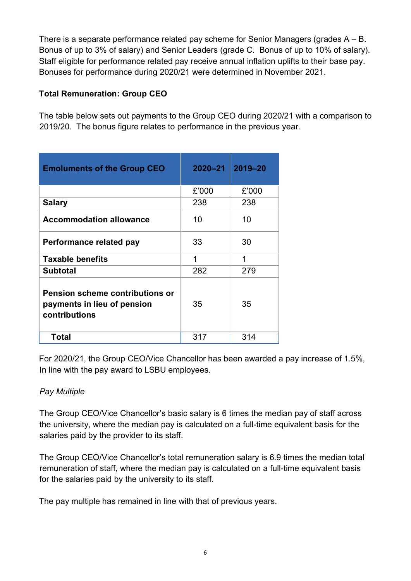There is a separate performance related pay scheme for Senior Managers (grades A – B. Bonus of up to 3% of salary) and Senior Leaders (grade C. Bonus of up to 10% of salary). Staff eligible for performance related pay receive annual inflation uplifts to their base pay. Bonuses for performance during 2020/21 were determined in November 2021.

## **Total Remuneration: Group CEO**

The table below sets out payments to the Group CEO during 2020/21 with a comparison to 2019/20. The bonus figure relates to performance in the previous year.

| <b>Emoluments of the Group CEO</b>                                                     | $2020 - 21$ | $2019 - 20$ |
|----------------------------------------------------------------------------------------|-------------|-------------|
|                                                                                        | £'000       | £'000       |
| <b>Salary</b>                                                                          | 238         | 238         |
| <b>Accommodation allowance</b>                                                         | 10          | 10          |
| Performance related pay                                                                | 33          | 30          |
| <b>Taxable benefits</b>                                                                | 1           | 1           |
| <b>Subtotal</b>                                                                        | 282         | 279         |
| <b>Pension scheme contributions or</b><br>payments in lieu of pension<br>contributions | 35          | 35          |
| <b>Total</b>                                                                           | 317         | 314         |

For 2020/21, the Group CEO/Vice Chancellor has been awarded a pay increase of 1.5%, In line with the pay award to LSBU employees.

# *Pay Multiple*

The Group CEO/Vice Chancellor's basic salary is 6 times the median pay of staff across the university, where the median pay is calculated on a full-time equivalent basis for the salaries paid by the provider to its staff.

The Group CEO/Vice Chancellor's total remuneration salary is 6.9 times the median total remuneration of staff, where the median pay is calculated on a full-time equivalent basis for the salaries paid by the university to its staff.

The pay multiple has remained in line with that of previous years.